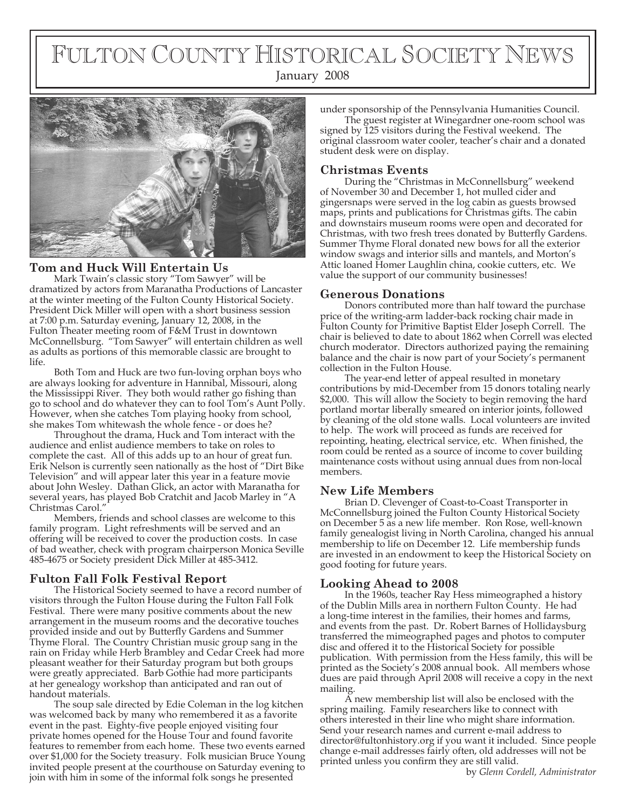# FULTON COUNTY HISTORICAL SOCIETY NEWS





#### **Tom and Huck Will Entertain Us**

Mark Twain's classic story "Tom Sawyer" will be dramatized by actors from Maranatha Productions of Lancaster at the winter meeting of the Fulton County Historical Society. President Dick Miller will open with a short business session at 7:00 p.m. Saturday evening, January 12, 2008, in the Fulton Theater meeting room of F&M Trust in downtown McConnellsburg. "Tom Sawyer" will entertain children as well as adults as portions of this memorable classic are brought to life.

Both Tom and Huck are two fun-loving orphan boys who are always looking for adventure in Hannibal, Missouri, along the Mississippi River. They both would rather go fishing than go to school and do whatever they can to fool Tom's Aunt Polly. However, when she catches Tom playing hooky from school, she makes Tom whitewash the whole fence - or does he?

Throughout the drama, Huck and Tom interact with the audience and enlist audience members to take on roles to complete the cast. All of this adds up to an hour of great fun. Erik Nelson is currently seen nationally as the host of "Dirt Bike Television" and will appear later this year in a feature movie about John Wesley. Dathan Glick, an actor with Maranatha for several years, has played Bob Cratchit and Jacob Marley in "A Christmas Carol."

Members, friends and school classes are welcome to this family program. Light refreshments will be served and an offering will be received to cover the production costs. In case of bad weather, check with program chairperson Monica Seville 485-4675 or Society president Dick Miller at 485-3412.

# **Fulton Fall Folk Festival Report**

The Historical Society seemed to have a record number of visitors through the Fulton House during the Fulton Fall Folk Festival. There were many positive comments about the new arrangement in the museum rooms and the decorative touches provided inside and out by Butterfly Gardens and Summer Thyme Floral. The Country Christian music group sang in the rain on Friday while Herb Brambley and Cedar Creek had more pleasant weather for their Saturday program but both groups were greatly appreciated. Barb Gothie had more participants at her genealogy workshop than anticipated and ran out of handout materials.

The soup sale directed by Edie Coleman in the log kitchen was welcomed back by many who remembered it as a favorite event in the past. Eighty-five people enjoyed visiting four private homes opened for the House Tour and found favorite features to remember from each home. These two events earned over \$1,000 for the Society treasury. Folk musician Bruce Young invited people present at the courthouse on Saturday evening to join with him in some of the informal folk songs he presented

under sponsorship of the Pennsylvania Humanities Council.

The guest register at Winegardner one-room school was signed by 125 visitors during the Festival weekend. The original classroom water cooler, teacher's chair and a donated student desk were on display.

### **Christmas Events**

During the "Christmas in McConnellsburg" weekend of November 30 and December 1, hot mulled cider and gingersnaps were served in the log cabin as guests browsed maps, prints and publications for Christmas gifts. The cabin and downstairs museum rooms were open and decorated for Christmas, with two fresh trees donated by Butterfly Gardens. Summer Thyme Floral donated new bows for all the exterior window swags and interior sills and mantels, and Morton's Attic loaned Homer Laughlin china, cookie cutters, etc. We value the support of our community businesses!

#### **Generous Donations**

Donors contributed more than half toward the purchase price of the writing-arm ladder-back rocking chair made in Fulton County for Primitive Baptist Elder Joseph Correll. The chair is believed to date to about 1862 when Correll was elected church moderator. Directors authorized paying the remaining balance and the chair is now part of your Society's permanent collection in the Fulton House.

The year-end letter of appeal resulted in monetary contributions by mid-December from 15 donors totaling nearly \$2,000. This will allow the Society to begin removing the hard portland mortar liberally smeared on interior joints, followed by cleaning of the old stone walls. Local volunteers are invited to help. The work will proceed as funds are received for repointing, heating, electrical service, etc. When finished, the room could be rented as a source of income to cover building maintenance costs without using annual dues from non-local members.

#### **New Life Members**

Brian D. Clevenger of Coast-to-Coast Transporter in McConnellsburg joined the Fulton County Historical Society on December 5 as a new life member. Ron Rose, well-known family genealogist living in North Carolina, changed his annual membership to life on December 12. Life membership funds are invested in an endowment to keep the Historical Society on good footing for future years.

# **Looking Ahead to 2008**

In the 1960s, teacher Ray Hess mimeographed a history of the Dublin Mills area in northern Fulton County. He had a long-time interest in the families, their homes and farms, and events from the past. Dr. Robert Barnes of Hollidaysburg transferred the mimeographed pages and photos to computer disc and offered it to the Historical Society for possible publication. With permission from the Hess family, this will be printed as the Society's 2008 annual book. All members whose dues are paid through April 2008 will receive a copy in the next mailing.

A new membership list will also be enclosed with the spring mailing. Family researchers like to connect with others interested in their line who might share information. Send your research names and current e-mail address to director@fultonhistory.org if you want it included. Since people change e-mail addresses fairly often, old addresses will not be printed unless you confirm they are still valid. by *Glenn Cordell, Administrator*